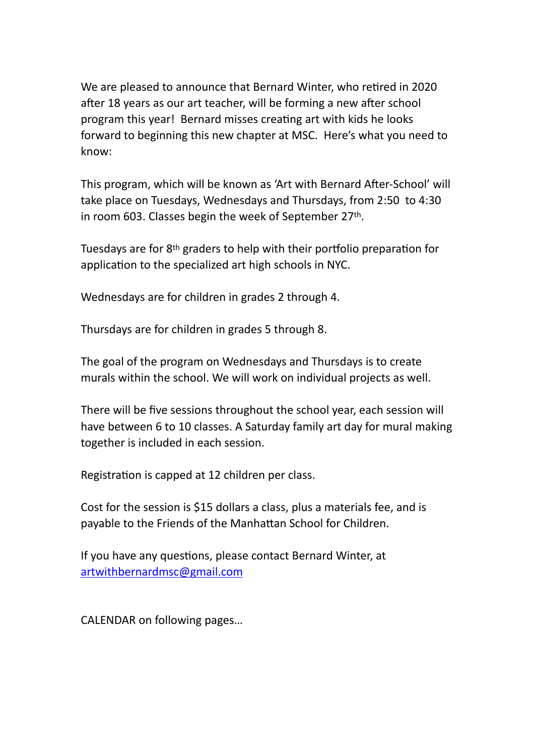We are pleased to announce that Bernard Winter, who retired in 2020 after 18 years as our art teacher, will be forming a new after school program this year! Bernard misses creating art with kids he looks forward to beginning this new chapter at MSC. Here's what you need to know:

This program, which will be known as 'Art with Bernard After-School' will take place on Tuesdays, Wednesdays and Thursdays, from 2:50 to 4:30 in room 603. Classes begin the week of September 27th.

Tuesdays are for 8th graders to help with their portfolio preparation for application to the specialized art high schools in NYC.

Wednesdays are for children in grades 2 through 4.

Thursdays are for children in grades 5 through 8.

The goal of the program on Wednesdays and Thursdays is to create murals within the school. We will work on individual projects as well.

There will be five sessions throughout the school year, each session will have between 6 to 10 classes. A Saturday family art day for mural making together is included in each session.

Registration is capped at 12 children per class.

Cost for the session is \$15 dollars a class, plus a materials fee, and is payable to the Friends of the Manhattan School for Children.

If you have any questions, please contact Bernard Winter, at [artwithbernardmsc@gmail.com](mailto:artwithbernardmsc@gmail.com)

CALENDAR on following pages…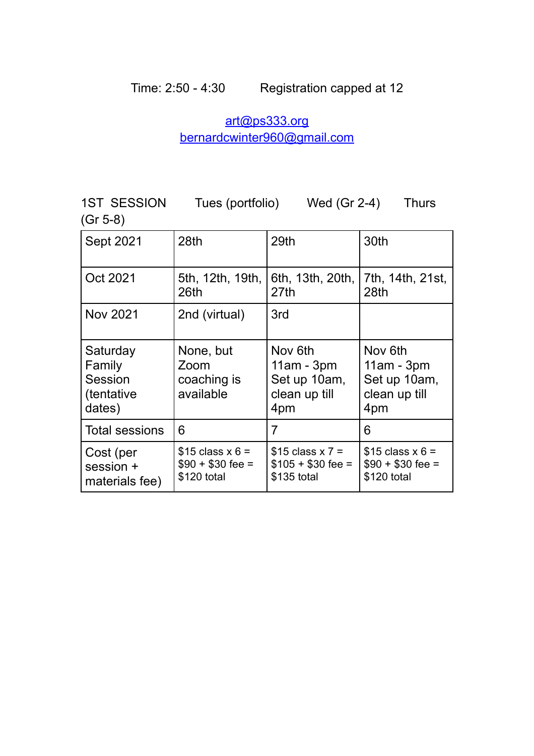## [art@ps333.org](mailto:art@ps333.org) [bernardcwinter960@gmail.com](mailto:bernardcwinter960@gmail.com)

1ST SESSION Tues (portfolio) Wed (Gr 2-4) Thurs (Gr 5-8)

| <b>Sept 2021</b>                                              | 28th                                                  | 29th                                                            | 30th                                                            |
|---------------------------------------------------------------|-------------------------------------------------------|-----------------------------------------------------------------|-----------------------------------------------------------------|
| Oct 2021                                                      | 5th, 12th, 19th,<br>26th                              | 6th, 13th, 20th,<br>27th                                        | 7th, 14th, 21st,<br>28th                                        |
| <b>Nov 2021</b>                                               | 2nd (virtual)                                         | 3rd                                                             |                                                                 |
| Saturday<br>Family<br>Session<br><i>(tentative)</i><br>dates) | None, but<br>Zoom<br>coaching is<br>available         | Nov 6th<br>$11am - 3pm$<br>Set up 10am,<br>clean up till<br>4pm | Nov 6th<br>$11am - 3pm$<br>Set up 10am,<br>clean up till<br>4pm |
| <b>Total sessions</b>                                         | 6                                                     | 7                                                               | 6                                                               |
| Cost (per<br>session +<br>materials fee)                      | $$15$ class x 6 =<br>$$90 + $30$ fee =<br>\$120 total | $$15$ class x 7 =<br>$$105 + $30$ fee =<br>\$135 total          | \$15 class $x 6 =$<br>$$90 + $30$ fee =<br>\$120 total          |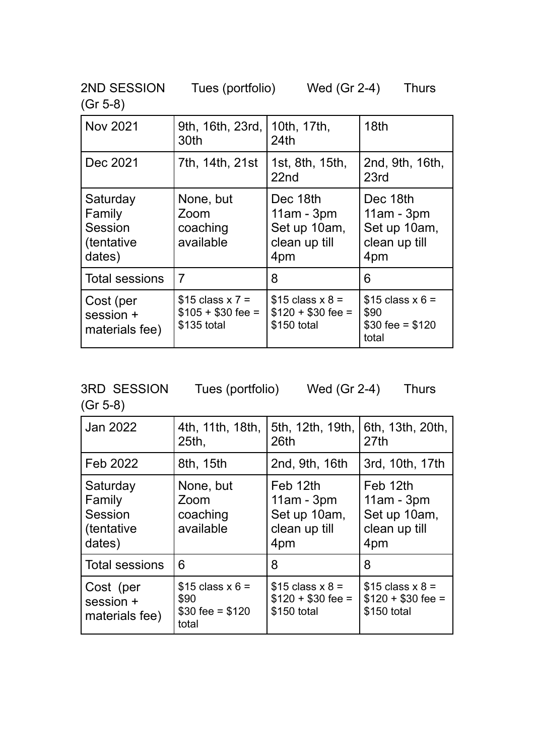2ND SESSION Tues (portfolio) Wed (Gr 2-4) Thurs

(Gr 5-8)

| <b>Nov 2021</b>                                        | 9th, 16th, 23rd,<br>30th                               | 10th, 17th,<br>24th                                              | 18 <sub>th</sub>                                                 |
|--------------------------------------------------------|--------------------------------------------------------|------------------------------------------------------------------|------------------------------------------------------------------|
| Dec 2021                                               | 7th, 14th, 21st                                        | 1st, 8th, 15th,<br>22 <sub>nd</sub>                              | 2nd, 9th, 16th,<br>23rd                                          |
| Saturday<br>Family<br>Session<br>(tentative)<br>dates) | None, but<br>Zoom<br>coaching<br>available             | Dec 18th<br>$11am - 3pm$<br>Set up 10am,<br>clean up till<br>4pm | Dec 18th<br>$11am - 3pm$<br>Set up 10am,<br>clean up till<br>4pm |
| <b>Total sessions</b>                                  | $\overline{7}$                                         | 8                                                                | 6                                                                |
| Cost (per<br>session +<br>materials fee)               | $$15$ class x 7 =<br>$$105 + $30$ fee =<br>\$135 total | $$15$ class x 8 =<br>$$120 + $30$ fee =<br>\$150 total           | $$15$ class x 6 =<br>\$90<br>$$30$ fee = \$120<br>total          |

3RD SESSION Tues (portfolio) Wed (Gr 2-4) Thurs

(Gr 5-8)

| Jan 2022                                                      | 4th, 11th, 18th,<br>25 <sub>th</sub>                    | 5th, 12th, 19th,<br>26th                                         | 6th, 13th, 20th,<br>27th                                         |
|---------------------------------------------------------------|---------------------------------------------------------|------------------------------------------------------------------|------------------------------------------------------------------|
| Feb 2022                                                      | 8th, 15th                                               | 2nd, 9th, 16th                                                   | 3rd, 10th, 17th                                                  |
| Saturday<br>Family<br>Session<br><i>(tentative)</i><br>dates) | None, but<br>Zoom<br>coaching<br>available              | Feb 12th<br>$11am - 3pm$<br>Set up 10am,<br>clean up till<br>4pm | Feb 12th<br>$11am - 3pm$<br>Set up 10am,<br>clean up till<br>4pm |
| <b>Total sessions</b>                                         | 6                                                       | 8                                                                | 8                                                                |
| Cost (per<br>session +<br>materials fee)                      | $$15$ class x 6 =<br>\$90<br>$$30$ fee = \$120<br>total | $$15$ class x 8 =<br>$$120 + $30$ fee =<br>\$150 total           | $$15$ class x 8 =<br>$$120 + $30$ fee =<br>\$150 total           |